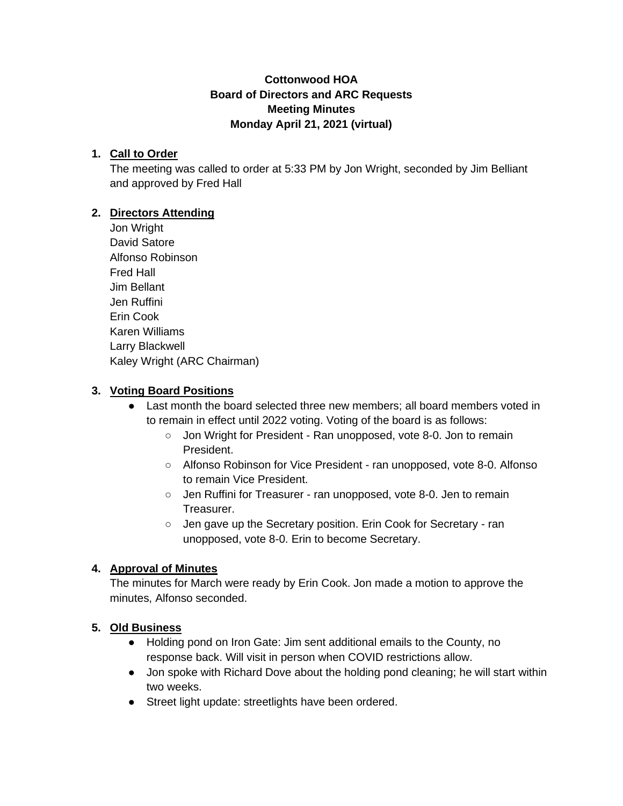## **Cottonwood HOA Board of Directors and ARC Requests Meeting Minutes Monday April 21, 2021 (virtual)**

## **1. Call to Order**

The meeting was called to order at 5:33 PM by Jon Wright, seconded by Jim Belliant and approved by Fred Hall

### **2. Directors Attending**

Jon Wright David Satore Alfonso Robinson Fred Hall Jim Bellant Jen Ruffini Erin Cook Karen Williams Larry Blackwell Kaley Wright (ARC Chairman)

### **3. Voting Board Positions**

- Last month the board selected three new members; all board members voted in to remain in effect until 2022 voting. Voting of the board is as follows:
	- Jon Wright for President Ran unopposed, vote 8-0. Jon to remain President.
	- Alfonso Robinson for Vice President ran unopposed, vote 8-0. Alfonso to remain Vice President.
	- Jen Ruffini for Treasurer ran unopposed, vote 8-0. Jen to remain Treasurer.
	- Jen gave up the Secretary position. Erin Cook for Secretary ran unopposed, vote 8-0. Erin to become Secretary.

## **4. Approval of Minutes**

The minutes for March were ready by Erin Cook. Jon made a motion to approve the minutes, Alfonso seconded.

#### **5. Old Business**

- Holding pond on Iron Gate: Jim sent additional emails to the County, no response back. Will visit in person when COVID restrictions allow.
- Jon spoke with Richard Dove about the holding pond cleaning; he will start within two weeks.
- Street light update: streetlights have been ordered.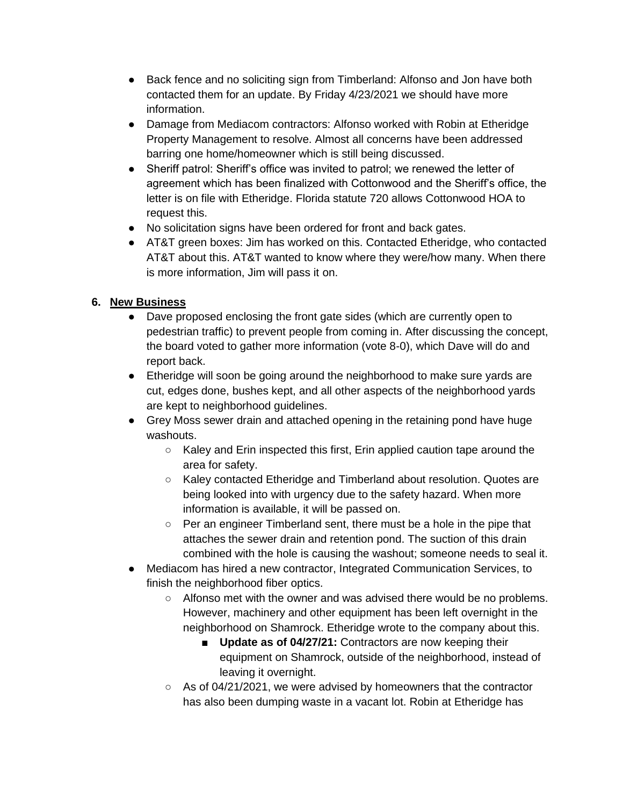- Back fence and no soliciting sign from Timberland: Alfonso and Jon have both contacted them for an update. By Friday 4/23/2021 we should have more information.
- Damage from Mediacom contractors: Alfonso worked with Robin at Etheridge Property Management to resolve. Almost all concerns have been addressed barring one home/homeowner which is still being discussed.
- Sheriff patrol: Sheriff's office was invited to patrol; we renewed the letter of agreement which has been finalized with Cottonwood and the Sheriff's office, the letter is on file with Etheridge. Florida statute 720 allows Cottonwood HOA to request this.
- No solicitation signs have been ordered for front and back gates.
- AT&T green boxes: Jim has worked on this. Contacted Etheridge, who contacted AT&T about this. AT&T wanted to know where they were/how many. When there is more information, Jim will pass it on.

# **6. New Business**

- Dave proposed enclosing the front gate sides (which are currently open to pedestrian traffic) to prevent people from coming in. After discussing the concept, the board voted to gather more information (vote 8-0), which Dave will do and report back.
- Etheridge will soon be going around the neighborhood to make sure yards are cut, edges done, bushes kept, and all other aspects of the neighborhood yards are kept to neighborhood guidelines.
- Grey Moss sewer drain and attached opening in the retaining pond have huge washouts.
	- Kaley and Erin inspected this first, Erin applied caution tape around the area for safety.
	- Kaley contacted Etheridge and Timberland about resolution. Quotes are being looked into with urgency due to the safety hazard. When more information is available, it will be passed on.
	- Per an engineer Timberland sent, there must be a hole in the pipe that attaches the sewer drain and retention pond. The suction of this drain combined with the hole is causing the washout; someone needs to seal it.
- Mediacom has hired a new contractor, Integrated Communication Services, to finish the neighborhood fiber optics.
	- Alfonso met with the owner and was advised there would be no problems. However, machinery and other equipment has been left overnight in the neighborhood on Shamrock. Etheridge wrote to the company about this.
		- Update as of 04/27/21: Contractors are now keeping their equipment on Shamrock, outside of the neighborhood, instead of leaving it overnight.
	- As of 04/21/2021, we were advised by homeowners that the contractor has also been dumping waste in a vacant lot. Robin at Etheridge has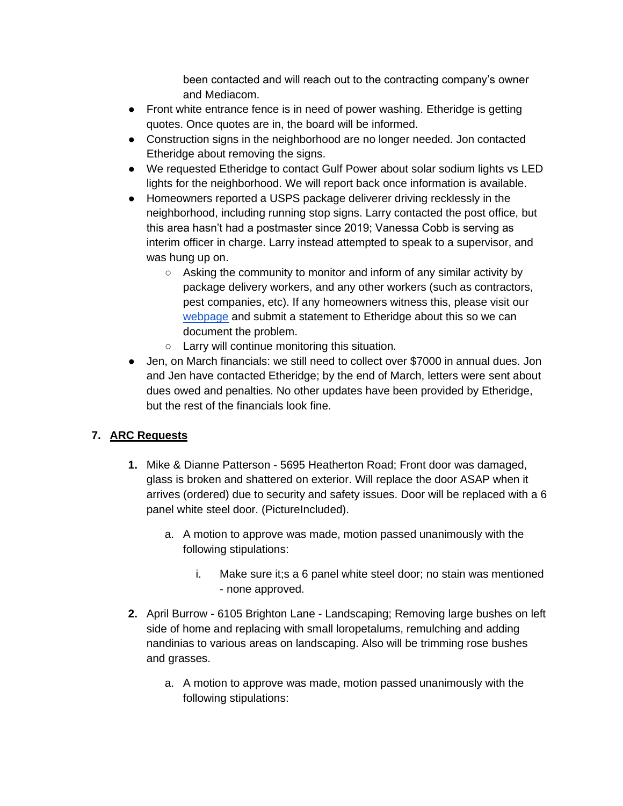been contacted and will reach out to the contracting company's owner and Mediacom.

- Front white entrance fence is in need of power washing. Etheridge is getting quotes. Once quotes are in, the board will be informed.
- Construction signs in the neighborhood are no longer needed. Jon contacted Etheridge about removing the signs.
- We requested Etheridge to contact Gulf Power about solar sodium lights vs LED lights for the neighborhood. We will report back once information is available.
- Homeowners reported a USPS package deliverer driving recklessly in the neighborhood, including running stop signs. Larry contacted the post office, but this area hasn't had a postmaster since 2019; Vanessa Cobb is serving as interim officer in charge. Larry instead attempted to speak to a supervisor, and was hung up on.
	- Asking the community to monitor and inform of any similar activity by package delivery workers, and any other workers (such as contractors, pest companies, etc). If any homeowners witness this, please visit our [webpage](https://www.cottonwoodhoa.net/) and submit a statement to Etheridge about this so we can document the problem.
	- Larry will continue monitoring this situation.
- Jen, on March financials: we still need to collect over \$7000 in annual dues. Jon and Jen have contacted Etheridge; by the end of March, letters were sent about dues owed and penalties. No other updates have been provided by Etheridge, but the rest of the financials look fine.

# **7. ARC Requests**

- **1.** Mike & Dianne Patterson 5695 Heatherton Road; Front door was damaged, glass is broken and shattered on exterior. Will replace the door ASAP when it arrives (ordered) due to security and safety issues. Door will be replaced with a 6 panel white steel door. (PictureIncluded).
	- a. A motion to approve was made, motion passed unanimously with the following stipulations:
		- i. Make sure it;s a 6 panel white steel door; no stain was mentioned - none approved.
- **2.** April Burrow 6105 Brighton Lane Landscaping; Removing large bushes on left side of home and replacing with small loropetalums, remulching and adding nandinias to various areas on landscaping. Also will be trimming rose bushes and grasses.
	- a. A motion to approve was made, motion passed unanimously with the following stipulations: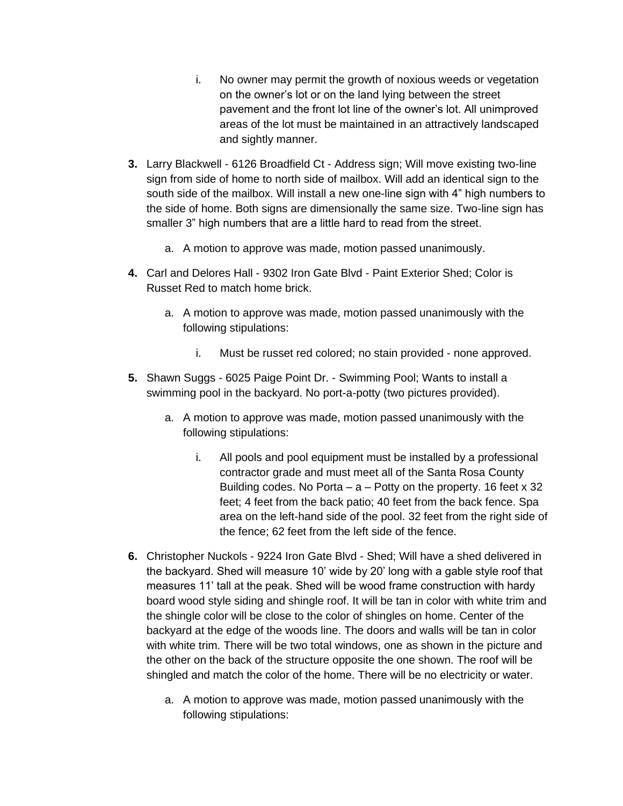- i. No owner may permit the growth of noxious weeds or vegetation on the owner's lot or on the land lying between the street pavement and the front lot line of the owner's lot. All unimproved areas of the lot must be maintained in an attractively landscaped and sightly manner.
- **3.** Larry Blackwell 6126 Broadfield Ct Address sign; Will move existing two-line sign from side of home to north side of mailbox. Will add an identical sign to the south side of the mailbox. Will install a new one-line sign with 4" high numbers to the side of home. Both signs are dimensionally the same size. Two-line sign has smaller 3" high numbers that are a little hard to read from the street.
	- a. A motion to approve was made, motion passed unanimously.
- **4.** Carl and Delores Hall 9302 Iron Gate Blvd Paint Exterior Shed; Color is Russet Red to match home brick.
	- a. A motion to approve was made, motion passed unanimously with the following stipulations:
		- i. Must be russet red colored; no stain provided none approved.
- **5.** Shawn Suggs 6025 Paige Point Dr. Swimming Pool; Wants to install a swimming pool in the backyard. No port-a-potty (two pictures provided).
	- a. A motion to approve was made, motion passed unanimously with the following stipulations:
		- i. All pools and pool equipment must be installed by a professional contractor grade and must meet all of the Santa Rosa County Building codes. No Porta  $-$  a  $-$  Potty on the property. 16 feet x 32 feet; 4 feet from the back patio; 40 feet from the back fence. Spa area on the left-hand side of the pool. 32 feet from the right side of the fence; 62 feet from the left side of the fence.
- **6.** Christopher Nuckols 9224 Iron Gate Blvd Shed; Will have a shed delivered in the backyard. Shed will measure 10' wide by 20' long with a gable style roof that measures 11' tall at the peak. Shed will be wood frame construction with hardy board wood style siding and shingle roof. It will be tan in color with white trim and the shingle color will be close to the color of shingles on home. Center of the backyard at the edge of the woods line. The doors and walls will be tan in color with white trim. There will be two total windows, one as shown in the picture and the other on the back of the structure opposite the one shown. The roof will be shingled and match the color of the home. There will be no electricity or water.
	- a. A motion to approve was made, motion passed unanimously with the following stipulations: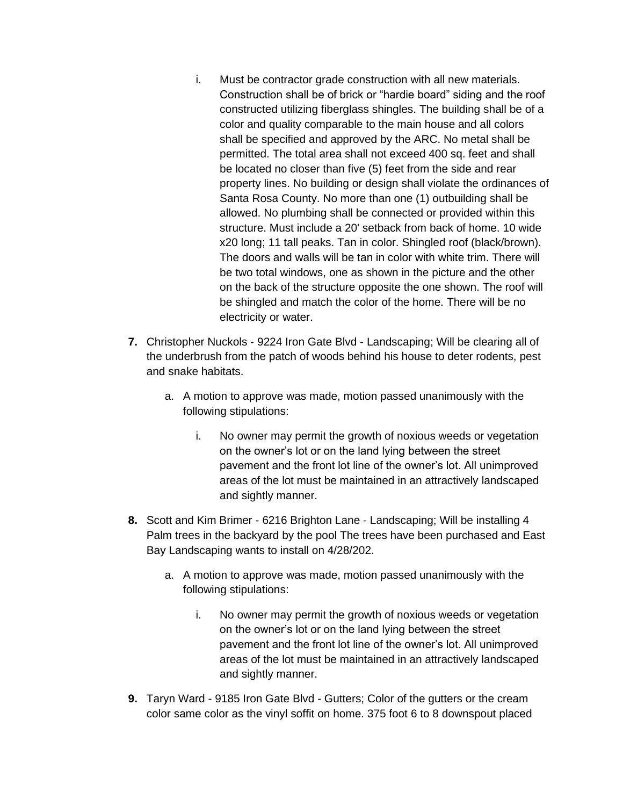- i. Must be contractor grade construction with all new materials. Construction shall be of brick or "hardie board" siding and the roof constructed utilizing fiberglass shingles. The building shall be of a color and quality comparable to the main house and all colors shall be specified and approved by the ARC. No metal shall be permitted. The total area shall not exceed 400 sq. feet and shall be located no closer than five (5) feet from the side and rear property lines. No building or design shall violate the ordinances of Santa Rosa County. No more than one (1) outbuilding shall be allowed. No plumbing shall be connected or provided within this structure. Must include a 20' setback from back of home. 10 wide x20 long; 11 tall peaks. Tan in color. Shingled roof (black/brown). The doors and walls will be tan in color with white trim. There will be two total windows, one as shown in the picture and the other on the back of the structure opposite the one shown. The roof will be shingled and match the color of the home. There will be no electricity or water.
- **7.** Christopher Nuckols 9224 Iron Gate Blvd Landscaping; Will be clearing all of the underbrush from the patch of woods behind his house to deter rodents, pest and snake habitats.
	- a. A motion to approve was made, motion passed unanimously with the following stipulations:
		- i. No owner may permit the growth of noxious weeds or vegetation on the owner's lot or on the land lying between the street pavement and the front lot line of the owner's lot. All unimproved areas of the lot must be maintained in an attractively landscaped and sightly manner.
- **8.** Scott and Kim Brimer 6216 Brighton Lane Landscaping; Will be installing 4 Palm trees in the backyard by the pool The trees have been purchased and East Bay Landscaping wants to install on 4/28/202.
	- a. A motion to approve was made, motion passed unanimously with the following stipulations:
		- i. No owner may permit the growth of noxious weeds or vegetation on the owner's lot or on the land lying between the street pavement and the front lot line of the owner's lot. All unimproved areas of the lot must be maintained in an attractively landscaped and sightly manner.
- **9.** Taryn Ward 9185 Iron Gate Blvd Gutters; Color of the gutters or the cream color same color as the vinyl soffit on home. 375 foot 6 to 8 downspout placed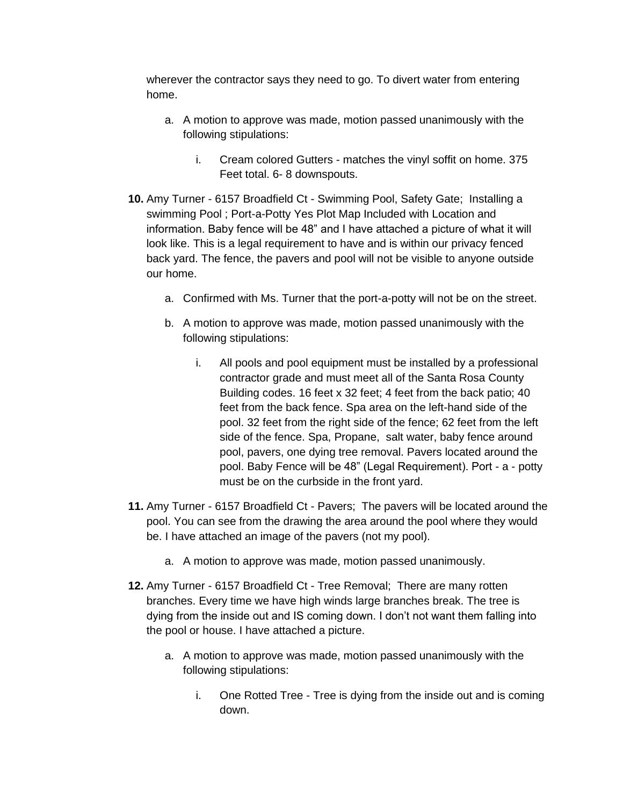wherever the contractor says they need to go. To divert water from entering home.

- a. A motion to approve was made, motion passed unanimously with the following stipulations:
	- i. Cream colored Gutters matches the vinyl soffit on home. 375 Feet total. 6- 8 downspouts.
- **10.** Amy Turner 6157 Broadfield Ct Swimming Pool, Safety Gate; Installing a swimming Pool ; Port-a-Potty Yes Plot Map Included with Location and information. Baby fence will be 48" and I have attached a picture of what it will look like. This is a legal requirement to have and is within our privacy fenced back yard. The fence, the pavers and pool will not be visible to anyone outside our home.
	- a. Confirmed with Ms. Turner that the port-a-potty will not be on the street.
	- b. A motion to approve was made, motion passed unanimously with the following stipulations:
		- i. All pools and pool equipment must be installed by a professional contractor grade and must meet all of the Santa Rosa County Building codes. 16 feet x 32 feet; 4 feet from the back patio; 40 feet from the back fence. Spa area on the left-hand side of the pool. 32 feet from the right side of the fence; 62 feet from the left side of the fence. Spa, Propane, salt water, baby fence around pool, pavers, one dying tree removal. Pavers located around the pool. Baby Fence will be 48" (Legal Requirement). Port - a - potty must be on the curbside in the front yard.
- **11.** Amy Turner 6157 Broadfield Ct Pavers; The pavers will be located around the pool. You can see from the drawing the area around the pool where they would be. I have attached an image of the pavers (not my pool).
	- a. A motion to approve was made, motion passed unanimously.
- **12.** Amy Turner 6157 Broadfield Ct Tree Removal; There are many rotten branches. Every time we have high winds large branches break. The tree is dying from the inside out and IS coming down. I don't not want them falling into the pool or house. I have attached a picture.
	- a. A motion to approve was made, motion passed unanimously with the following stipulations:
		- i. One Rotted Tree Tree is dying from the inside out and is coming down.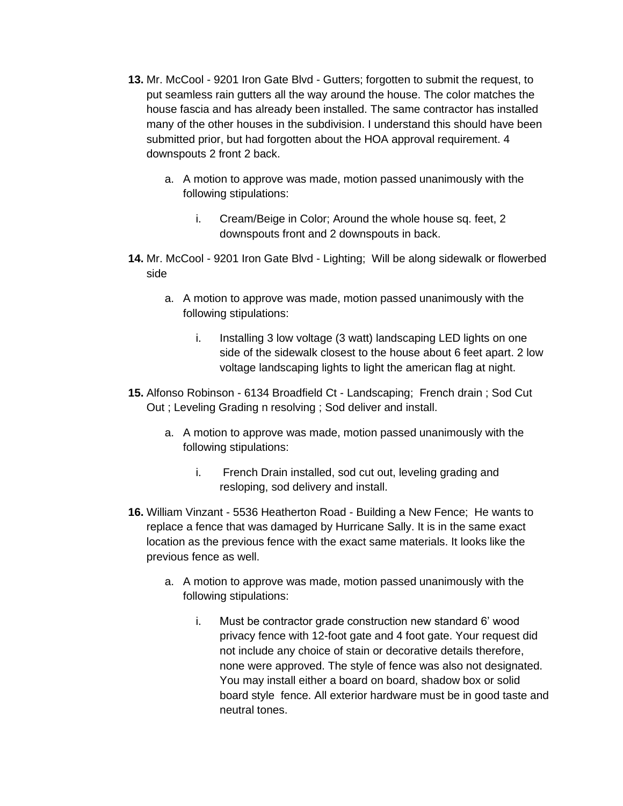- **13.** Mr. McCool 9201 Iron Gate Blvd Gutters; forgotten to submit the request, to put seamless rain gutters all the way around the house. The color matches the house fascia and has already been installed. The same contractor has installed many of the other houses in the subdivision. I understand this should have been submitted prior, but had forgotten about the HOA approval requirement. 4 downspouts 2 front 2 back.
	- a. A motion to approve was made, motion passed unanimously with the following stipulations:
		- i. Cream/Beige in Color; Around the whole house sq. feet, 2 downspouts front and 2 downspouts in back.
- **14.** Mr. McCool 9201 Iron Gate Blvd Lighting; Will be along sidewalk or flowerbed side
	- a. A motion to approve was made, motion passed unanimously with the following stipulations:
		- i. Installing 3 low voltage (3 watt) landscaping LED lights on one side of the sidewalk closest to the house about 6 feet apart. 2 low voltage landscaping lights to light the american flag at night.
- **15.** Alfonso Robinson 6134 Broadfield Ct Landscaping; French drain ; Sod Cut Out ; Leveling Grading n resolving ; Sod deliver and install.
	- a. A motion to approve was made, motion passed unanimously with the following stipulations:
		- i. French Drain installed, sod cut out, leveling grading and resloping, sod delivery and install.
- **16.** William Vinzant 5536 Heatherton Road Building a New Fence; He wants to replace a fence that was damaged by Hurricane Sally. It is in the same exact location as the previous fence with the exact same materials. It looks like the previous fence as well.
	- a. A motion to approve was made, motion passed unanimously with the following stipulations:
		- i. Must be contractor grade construction new standard 6' wood privacy fence with 12-foot gate and 4 foot gate. Your request did not include any choice of stain or decorative details therefore, none were approved. The style of fence was also not designated. You may install either a board on board, shadow box or solid board style fence. All exterior hardware must be in good taste and neutral tones.